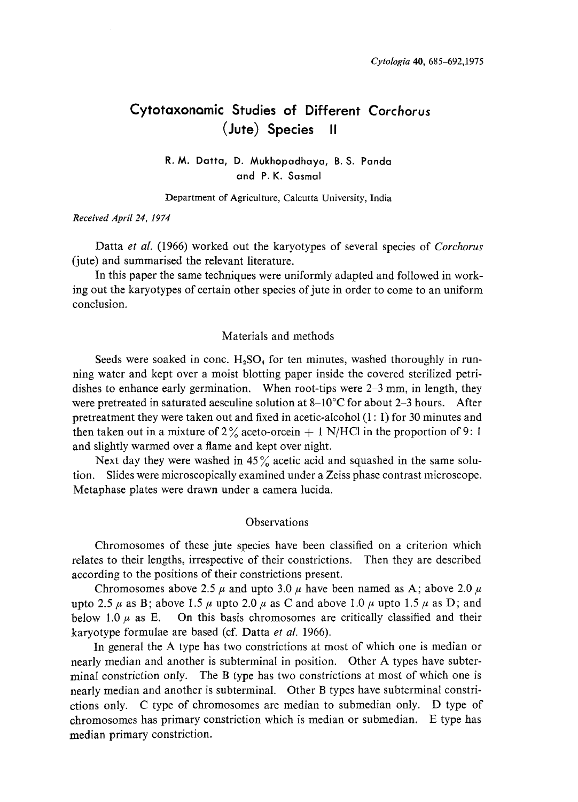# Cytotaxonamic Studies of Different Corchorus (Jute) Species II

## R. M. Datta, D. Mukhopadhaya, B. S. Panda and P. K. Sasmal

Department of Agriculture, Calcutta University, India

### Received April 24, 1974

Datta *et al.* (1966) worked out the karyotypes of several species of *Corchorus* (jute) and summarised the relevant literature.

In this paper the same techniques were uniformly adapted and followed in work ing out the karyotypes of certain other species of jute in order to come to an uniform conclusion.

## Materials and methods

Seeds were soaked in conc.  $H_2SO_4$  for ten minutes, washed thoroughly in running water and kept over a moist blotting paper inside the covered sterilized petri dishes to enhance early germination. When root-tips were 2–3 mm, in length, they were pretreated in saturated aesculine solution at  $8-10^{\circ}$ C for about 2-3 hours. After pretreatment they were taken out and fixed in acetic-alcohol (1:1) for 30 minutes and then taken out in a mixture of  $2\%$  aceto-orcein  $+1$  N/HCl in the proportion of 9:1 and slightly warmed over a flame and kept over night.

Next day they were washed in  $45\%$  acetic acid and squashed in the same solution. Slides were microscopically examined under a Zeiss phase contrast microscope. Metaphase plates were drawn under a camera lucida.

## **Observations**

Chromosomes of these jute species have been classified on a criterion which relates to their lengths, irrespective of their constrictions. Then they are described according to the positions of their constrictions present.

Chromosomes above 2.5  $\mu$  and upto 3.0  $\mu$  have been named as A; above 2.0  $\mu$ upto 2.5  $\mu$  as B; above 1.5  $\mu$  upto 2.0  $\mu$  as C and above 1.0  $\mu$  upto 1.5  $\mu$  as D; and below 1.0  $\mu$  as E. On this basis chromosomes are critically classified and their karyotype formulae are based (cf. Datta et al. 1966).

In general the A type has two constrictions at most of which one is median or nearly median and another is subterminal in position. Other A types have subter minal constriction only. The B type has two constrictions at most of which one is nearly median and another is subterminal. Other B types have subterminal constri ctions only. C type of chromosomes are median to submedian only. D type of chromosomes has primary constriction which is median or submedian. E type has median primary constriction.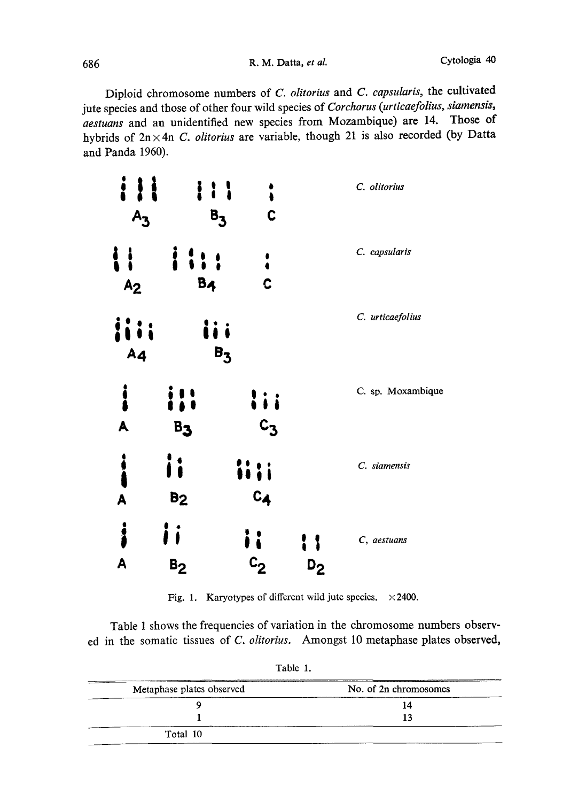Diploid chromosome numbers of C. olitorius and C. capsularis, the cultivated jute species and those of other four wild species of Corchorus (urticaefolius, siamensis, aestuans and an unidentified new species from Mozambique) are 14. Those of hybrids of  $2n \times 4n$  C. olitorius are variable, though 21 is also recorded (by Datta and Panda 1960).

| i                                    | i i l<br>$B_{3}$      | C                 |         | C. olitorius      |
|--------------------------------------|-----------------------|-------------------|---------|-------------------|
| į<br>A <sub>2</sub>                  | B <sub>4</sub>        | C                 |         | C. capsularis     |
| A <sub>4</sub>                       |                       | $B_3$             |         | C. urticaefolius  |
| $\ddot{\bullet}$<br>A                | B3                    | li i<br>$c_{3}$   |         | C. sp. Moxambique |
| $\ddot{\bullet}$<br>$\blacktriangle$ | i i<br>B <sub>2</sub> | ii i i<br>$c_{4}$ |         | C. siamensis      |
| i<br>A                               | B <sub>2</sub>        | $c_{2}$           | $D_{2}$ | C, aestuans       |

Fig. 1. Karyotypes of different wild jute species.  $\times$  2400.

Table I shows the frequencies of variation in the chromosome numbers observ ed in the somatic tissues of C. olitorius. Amongst 10 metaphase plates observed,

| Metaphase plates observed | No. of 2n chromosomes |
|---------------------------|-----------------------|
|                           | 14                    |
|                           |                       |
| Total 10                  |                       |

Table 1.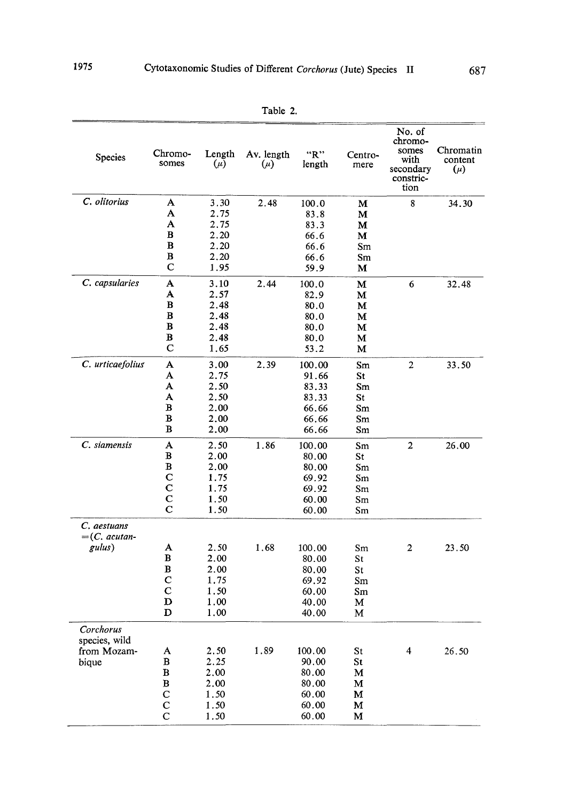| ۱ľ<br>31<br>÷<br>п |  |
|--------------------|--|
|--------------------|--|

| Species                    | Chromo-<br>somes | Length<br>$(\mu)$ | Av. length<br>$(\mu)$ | "R"<br>length  | Centro-<br>mere | No. of<br>chromo-<br>somes<br>with<br>secondary<br>constric-<br>tion | Chromatin<br>content<br>$(\mu)$ |
|----------------------------|------------------|-------------------|-----------------------|----------------|-----------------|----------------------------------------------------------------------|---------------------------------|
| C. olitorius               | A                | 3.30              | 2.48                  | 100.0          | М               | 8                                                                    | 34.30                           |
|                            | A                | 2.75              |                       | 83.8           | М               |                                                                      |                                 |
|                            | A                | 2.75              |                       | 83.3           | M               |                                                                      |                                 |
|                            | $\bf{B}$<br>в    | 2.20              |                       | 66.6           | м               |                                                                      |                                 |
|                            | в                | 2.20<br>2.20      |                       | 66.6           | Sm              |                                                                      |                                 |
|                            | $\mathbf C$      | 1.95              |                       | 66.6<br>59.9   | Sm<br>М         |                                                                      |                                 |
| C. capsularies             | A                | 3.10              | 2.44                  | 100.0          | М               | 6                                                                    | 32.48                           |
|                            | A                | 2.57              |                       | 82.9           | м               |                                                                      |                                 |
|                            | В                | 2.48              |                       | 80.0           | М               |                                                                      |                                 |
|                            | B                | 2.48              |                       | 80.0           | м               |                                                                      |                                 |
|                            | в                | 2.48              |                       | 80.0           | M               |                                                                      |                                 |
|                            | в                | 2.48              |                       | 80.0           | М               |                                                                      |                                 |
|                            | C                | 1.65              |                       | 53.2           | м               |                                                                      |                                 |
| C. urticaefolius           | A                | 3.00              | 2.39                  | 100.00         | Sm              | $\overline{2}$                                                       | 33.50                           |
|                            | A                | 2.75              |                       | 91.66          | St              |                                                                      |                                 |
|                            | A                | 2.50              |                       | 83.33          | Sm              |                                                                      |                                 |
|                            | A                | 2.50              |                       | 83.33          | St              |                                                                      |                                 |
|                            | B<br>B           | 2.00              |                       | 66.66          | Sm              |                                                                      |                                 |
|                            | B                | 2.00<br>2.00      |                       | 66.66<br>66.66 | Sm<br>Sm        |                                                                      |                                 |
| C. siamensis               | A                | 2.50              | 1.86                  | 100.00         | Sm              | $\mathbf{2}$                                                         | 26.00                           |
|                            | в                | 2.00              |                       | 80.00          | St              |                                                                      |                                 |
|                            | $\bf{B}$         | 2.00              |                       | 80.00          | Sm              |                                                                      |                                 |
|                            | C                | 1.75              |                       | 69.92          | Sm              |                                                                      |                                 |
|                            | $\mathbf C$      | 1.75              |                       | 69.92          | Sm              |                                                                      |                                 |
|                            | $\mathbf C$      | 1.50              |                       | 60.00          | Sm              |                                                                      |                                 |
|                            | $\mathbf C$      | 1.50              |                       | 60.00          | Sm              |                                                                      |                                 |
| C. aestuans                |                  |                   |                       |                |                 |                                                                      |                                 |
| $=(C.$ acutan-<br>gulus)   | A                | 2.50              | 1.68                  | 100.00         | Sm              | $\overline{2}$                                                       | 23.50                           |
|                            | B                | 2.00              |                       | 80.00          | St              |                                                                      |                                 |
|                            | B                | 2.00              |                       | 80.00          | St              |                                                                      |                                 |
|                            | C                | 1.75              |                       | 69.92          | Sm              |                                                                      |                                 |
|                            | $\mathbf C$      | 1.50              |                       | 60.00          | Sm              |                                                                      |                                 |
|                            | D                | 1.00              |                       | 40.00          | м               |                                                                      |                                 |
|                            | D                | 1,00              |                       | 40.00          | М               |                                                                      |                                 |
| Corchorus<br>species, wild |                  |                   |                       |                |                 |                                                                      |                                 |
| from Mozam-                | A                | 2.50              | 1.89                  | 100.00         | St              | $\overline{\mathbf{4}}$                                              | 26.50                           |
| bique                      | в                | 2.25              |                       | 90.00          | St              |                                                                      |                                 |
|                            | $\bf{B}$         | 2.00              |                       | 80.00          | М               |                                                                      |                                 |
|                            | B                | 2.00              |                       | 80.00          | м               |                                                                      |                                 |
|                            | $\mathbf C$      | 1.50              |                       | 60.00          | м               |                                                                      |                                 |
|                            | $\mathbf C$      | 1.50              |                       | 60.00          | М               |                                                                      |                                 |
|                            | C                | 1.50              |                       | 60.00          | м               |                                                                      |                                 |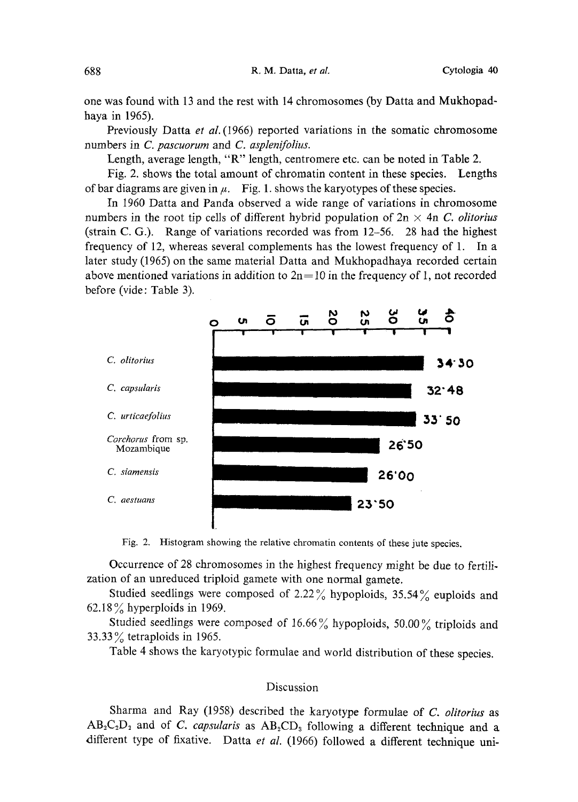one was found with 13 and the rest with 14 chromosomes (by Datta and Mukhopad haya in 1965).

Previously Datta et al. (1966) reported variations in the somatic chromosome numbers in C. pascuorum and C. asplenifolius.

Length, average length, "R" length, centromere etc. can be noted in Table 2.

Fig. 2. shows the total amount of chromatin content in these species. Lengths of bar diagrams are given in  $\mu$ . Fig. 1. shows the karyotypes of these species.

In 1960 Datta and Panda observed a wide range of variations in chromosome numbers in the root tip cells of different hybrid population of  $2n \times 4n$  C. olitorius (strain C. G.). Range of variations recorded was from 12-56. 28 had the highest frequency of 12, whereas several complements has the lowest frequency of 1. In a later study (1965) on the same material Datta and Mukhopadhaya recorded certain above mentioned variations in addition to  $2n=10$  in the frequency of 1, not recorded before (vide: Table 3).



Fig. 2. Histogram showing the relative chromatin contents of these jute species.

Occurrence of 28 chromosomes in the highest frequency might be due to fertili zation of an unreduced triploid gamete with one normal gamete.

Studied seedlings were composed of 2.22% hypoploids, 35.54% euploids and 62.18 $\%$  hyperploids in 1969.

Studied seedlings were composed of 16.66% hypoploids, 50.00% triploids and 33.33% tetraploids in 1965.

Table 4 shows the karyotypic formulae and world distribution of these species .

## Discussion

Sharma and Ray (1958) described the karyotype formulae of C. olitorius as  $AB_2C_2D_2$  and of C. capsularis as  $AB_2CD_3$  following a different technique and a different type of fixative. Datta et al. (1966) followed a different technique uni-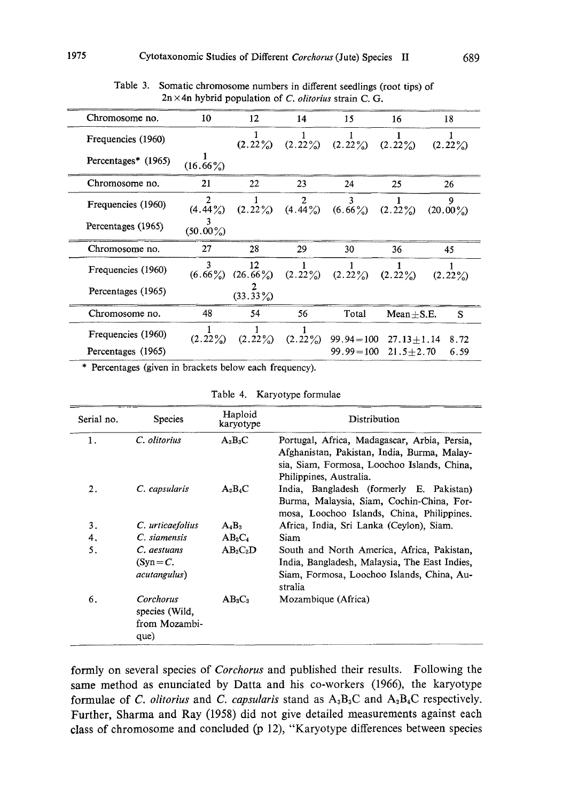| Chromosome no.      | 10               | 12                | 14              | 15              | 16             | 18               |
|---------------------|------------------|-------------------|-----------------|-----------------|----------------|------------------|
| Frequencies (1960)  |                  | $(2.22\%)$        | $(2.22\%)$      | $(2.22\%)$      | $(2.22\%)$     | $(2.22\%)$       |
| Percentages* (1965) | $(16.66\%)$      |                   |                 |                 |                |                  |
| Chromosome no.      | 21               | 22                | 23              | 24              | 25             | 26               |
| Frequencies (1960)  | $(4.44\%)$       | $(2.22\%)$        | 2<br>$(4.44\%)$ | ٦<br>$(6.66\%)$ | (2.22%)        | 9<br>$(20.00\%)$ |
| Percentages (1965)  | 3<br>$(50.00\%)$ |                   |                 |                 |                |                  |
| Chromosome no.      | 27               | 28                | 29              | 30              | 36             | 45               |
| Frequencies (1960)  | 3<br>$(6.66\%)$  | 12<br>$(26.66\%)$ | $(2.22\%)$      | $(2.22\%)$      | $(2.22\%)$     | $(2.22\%)$       |
| Percentages (1965)  |                  | $(33.33\%)$       |                 |                 |                |                  |
| Chromosome no.      | 48               | 54                | 56              | Total           | $Mean + S.E.$  | S                |
| Frequencies (1960)  | $(2.22\%)$       | (2.22%)           | $(2.22\%)$      | $99.94 = 100$   | $27.13 + 1.14$ | 8.72             |
| Percentages (1965)  |                  |                   |                 | $99.99 = 100$   | $21.5 + 2.70$  | 6.59             |

Table 3. Somatic chromosome numbers in different seedlings (root tips) of  $2n \times 4n$  hybrid population of C. olitorius strain C. G.

\* Percentages (given in brackets below each frequency) .

Table 4. Karyotype formulae

| Serial no. | <b>Species</b>                                       | Haploid<br>karyotype | Distribution                                                                                                                                                          |
|------------|------------------------------------------------------|----------------------|-----------------------------------------------------------------------------------------------------------------------------------------------------------------------|
| 1.         | C. olitorius                                         | $A_3B_3C$            | Portugal, Africa, Madagascar, Arbia, Persia,<br>Afghanistan, Pakistan, India, Burma, Malay-<br>sia, Siam, Formosa, Loochoo Islands, China.<br>Philippines, Australia. |
| 2.         | C. capsularis                                        | $A_2B_4C$            | India, Bangladesh (formerly E. Pakistan)<br>Burma, Malaysia, Siam, Cochin-China, For-<br>mosa, Loochoo Islands, China, Philippines,                                   |
| 3.         | C. urticaefolius                                     | $A_4B_3$             | Africa, India, Sri Lanka (Ceylon), Siam.                                                                                                                              |
| 4.         | C. siamensis                                         | $AB_2C_4$            | <b>Siam</b>                                                                                                                                                           |
| 5.         | C. aestuans<br>$(Syn = C$ .<br>acutangulus)          | $AB_2C_2D$           | South and North America, Africa, Pakistan,<br>India, Bangladesh, Malaysia, The East Indies,<br>Siam, Formosa, Loochoo Islands, China, Au-<br>stralia                  |
| 6.         | Corchorus<br>species (Wild,<br>from Mozambi-<br>que) | $AB_3C_3$            | Mozambique (Africa)                                                                                                                                                   |

formly on several species of Corchorus and published their results. Following the same method as enunciated by Datta and his co-workers (1966), the karyotype formulae of C. olitorius and C. capsularis stand as  $A_3B_3C$  and  $A_2B_4C$  respectively. Further, Sharma and Ray (1958) did not give detailed measurements against each class of chromosome and concluded (p 12), "Karyotype differences between species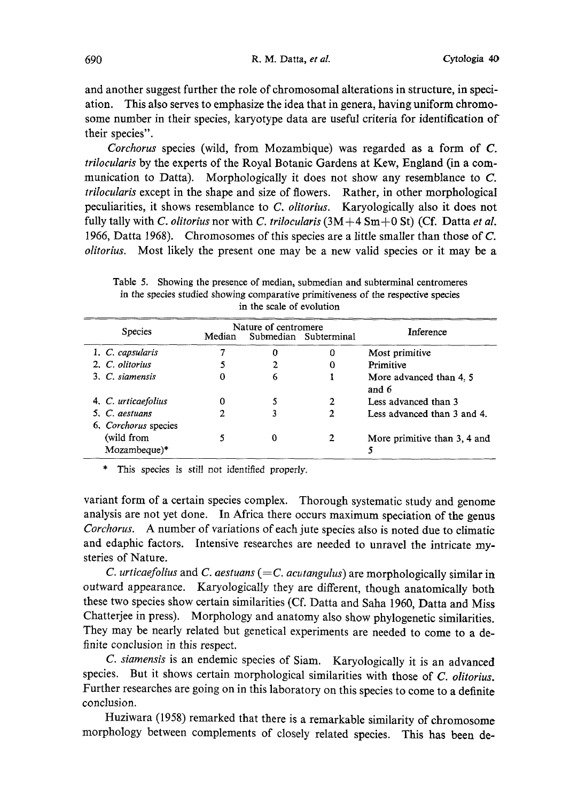and another suggest further the role of chromosomal alterations in structure, in speci ation. This also serves to emphasize the idea that in genera, having uniform chromo some number in their species, karyotype data are useful criteria for identification of their species".

Corchorus species (wild, from Mozambique) was regarded as a form of C. trilocularis by the experts of the Royal Botanic Gardens at Kew, England (in a com munication to Datta). Morphologically it does not show any resemblance to C. trilocularis except in the shape and size of flowers. Rather, in other morphological peculiarities, it shows resemblance to C. olitorius. Karyologically also it does not fully tally with C. olitorius nor with C. trilocularis  $(3M+4 \text{ Sm}+0 \text{ St})$  (Cf. Datta et al. 1966, Datta 1968). Chromosomes of this species are a little smaller than those of C. olitorius. Most likely the present one may be a new valid species or it may be a

| <b>Species</b>                         | Nature of centromere<br>Submedian Subterminal<br>Median |   |   | Inference                       |
|----------------------------------------|---------------------------------------------------------|---|---|---------------------------------|
| 1. C. capsularis                       |                                                         | O |   | Most primitive                  |
| 2. C. olitorius                        |                                                         |   |   | Primitive                       |
| 3. C. siamensis                        |                                                         | 6 |   | More advanced than 4.5<br>and 6 |
| 4. C. urticaefolius                    |                                                         |   | 2 | Less advanced than 3            |
| 5. C. aestuans<br>6. Corchorus species |                                                         |   | 2 | Less advanced than 3 and 4.     |
| (wild from<br>Mozambeque)*             |                                                         | 0 |   | More primitive than 3, 4 and    |

Table 5. Showing the presence of median, submedian and subterminal centromeres in the species studied showing comparative primitiveness of the respective species in the scale of evolution

\* This species is still not identified properly .

variant form of a certain species complex. Thorough systematic study and genome analysis are not yet done. In Africa there occurs maximum speciation of the genus Corchorus. A number of variations of each jute species also is noted due to climatic and edaphic factors. Intensive researches are needed to unravel the intricate my steries of Nature.

C. urticaefolius and C. aestuans (= $C$ . acutangulus) are morphologically similar in outward appearance. Karyologically they are different, though anatomically both these two species show certain similarities (Cf. Datta and Saha 1960, Datta and Miss Chatterjee in press). Morphology and anatomy also show phylogenetic similarities. They may be nearly related but genetical experiments are needed to come to a de finite conclusion in this respect.

C. siamensis is an endemic species of Siam. Karyologically it is an advanced species. But it shows certain morphological similarities with those of C. olitorius. Further researches are going on in this laboratory on this species to come to a definite conclusion.

Huziwara (1958) remarked that there is a remarkable similarity of chromosome morphology between complements of closely related species. This has been de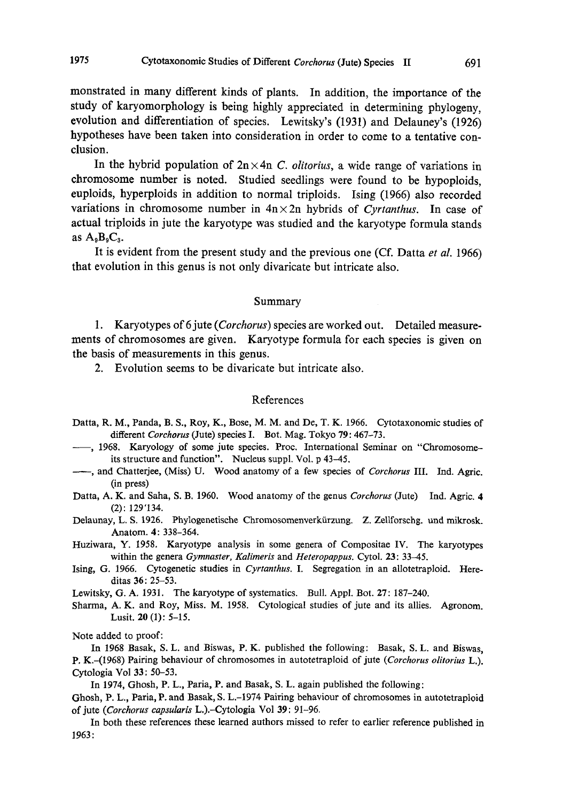monstrated in many different kinds of plants. In addition , the importance of the study of karyomorphology is being highly appreciated in determining phylogeny , evolution and differentiation of species. Lewitsky's (1931) and Delauney's (1926) hypotheses have been taken into consideration in order to come to a tentative con clusion.

In the hybrid population of  $2n \times 4n$  C. *olitorius*, a wide range of variations in chromosome number is noted. Studied seedlings were found to be hypoploids, euploids, hyperploids in addition to normal triploids. Ising (1966) also recorded variations in chromosome number in  $4n \times 2n$  hybrids of Cyrtanthus. In case of actual triploids in jute the karyotype was studied and the karyotype formula stands as  $A_9B_9C_3$ .

It is evident from the present study and the previous one (Cf. Datta et al. 1966) that evolution in this genus is not only divaricate but intricate also.

#### Summary

1. Karyotypes of 6 jute (*Corchorus*) species are worked out. Detailed measurements of chromosomes are given. Karyotype formula for each species is given on the basis of measurements in this genus.

2. Evolution seems to be divaricate but intricate also.

### References

- Datta, R. M., Panda, B. S., Roy, K., Bose, M. M. and De, T. K. 1966. Cytotaxonomic studies of different Corchorus (Jute) species I. Bot. Mag. Tokyo 79: 467-73.
- -, 1968. Karyology of some jute species. Proc. International Seminar on "Chromosomeits structure and function". Nucleus suppl. Vol. p 43-45.
- $\longrightarrow$ , and Chatterjee, (Miss) U. Wood anatomy of a few species of *Corchorus* III. Ind. Agric. (in press)
- Datta, A. K. and Saha, S. B. 1960. Wood anatomy of the genus Corchorus (Jute) Ind. Agric. 4  $(2): 129'134.$
- Delaunay, L. S. 1926. Phylogenetische Chromosomenverkdrzung. Z. Zellforschg. and mikrosk. Anatom. 4: 338-364.
- Huziwara, Y. 1958. Karyotype analysis in some genera of Compositae IV. The karyotypes within the genera Gymnaster, Kalimeris and Heteropappus. Cytol. 23: 33-45.
- Ising, G. 1966. Cytogenetic studies in Cyrtanthus. I. Segregation in an allotetraploid. Here ditas 36: 25-53.

Lewitsky, G. A. 1931. The karyotype of systematics. Bull. Appl. Bot. 27: 187-240.

Sharma, A. K. and Roy, Miss. M. 1958. Cytological studies of jute and its allies. Agronom. Lusit. 20 (1): 5-15.

Note added to proof:

In 1968 Basak, S. L. and Biswas, P. K. published the following: Basak, S. L. and Biswas, P. K.-(1968) Pairing behaviour of chromosomes in autotetraploid of jute (Corchorus olitorius L.). Cytologia Vol 33: 50-53.

In 1974, Ghosh, P. L., Paria, P. and Basak, S. L. again published the following:

Ghosh, P. L., Paria, P. and Basak, S. L.-1974 Pairing behaviour of chromosomes in autotetraploid of jute (Corchorus capsularis L.).-Cytologia Vol 39: 91-96.

In both these references these learned authors missed to refer to earlier reference published in 1963: